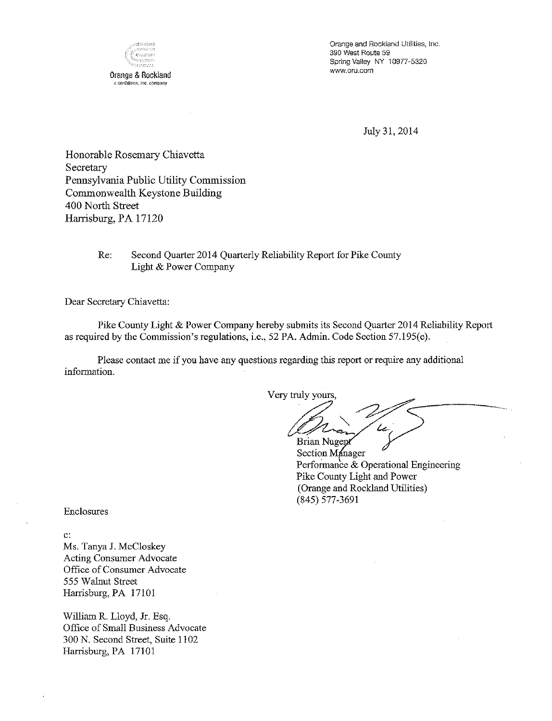

Orange and Rockland Utilities, Inc. 390 West Route 59 Spring Valley NY 10977-5320 www.oru.com

July 31, 2014

Honorable Rosemary Chiavetta Secretary Pennsylvania Public Utility Commission Commonwealth Keystone Building 400 North Street Harrisburg, PA 17120

#### Re: Second Quarter 2014 Quarterly Reliability Report for Pike County Light & Power Company

Dear Secretary Chiavetta:

Pike County Light & Power Company hereby submits its Second Quarter 2014 Reliability Report as required by the Commission's regulations, i.e., 52 PA. Admin. Code Section 57.195(e).

Please contact me if you have any questions regarding this report or require any additional information.

Very truly yours,

**Brian Nugept** 

Section Manager Performance & Operational Engineering Pike County Light and Power (Orange and Rockland Utilities) (845) 577-3691

Enclosures

 $\mathbf{c}$ :

Ms. Tanya J. McCloskey Acting Consumer Advocate Office of Consumer Advocate 555 Walnut Street Harrisburg, PA 17101

William R. Lloyd, Jr. Esq. Office of Small Business Advocate 300 N. Second Street, Suite 1102 Harrisburg, PA 17101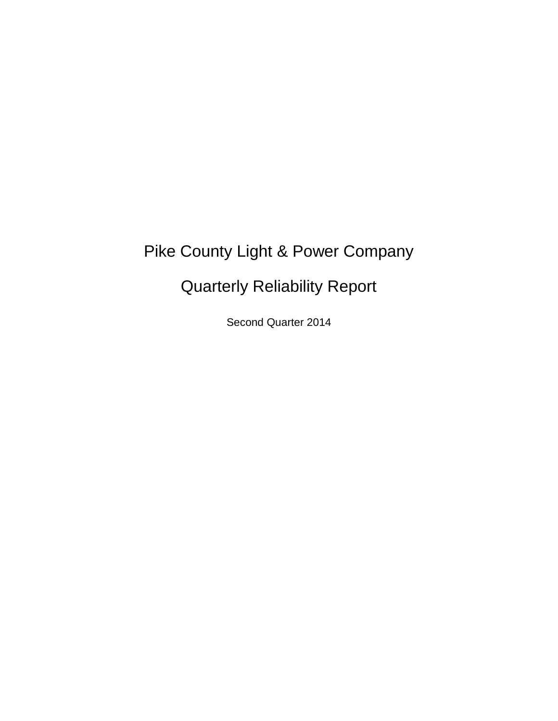# Pike County Light & Power Company

# Quarterly Reliability Report

Second Quarter 2014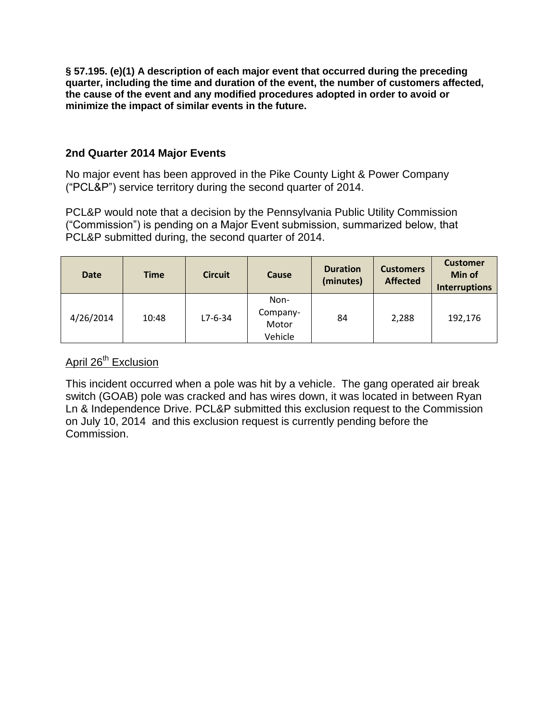**§ 57.195. (e)(1) A description of each major event that occurred during the preceding quarter, including the time and duration of the event, the number of customers affected, the cause of the event and any modified procedures adopted in order to avoid or minimize the impact of similar events in the future.** 

### **2nd Quarter 2014 Major Events**

No major event has been approved in the Pike County Light & Power Company ("PCL&P") service territory during the second quarter of 2014.

PCL&P would note that a decision by the Pennsylvania Public Utility Commission ("Commission") is pending on a Major Event submission, summarized below, that PCL&P submitted during, the second quarter of 2014.

| <b>Date</b> | <b>Time</b> | <b>Circuit</b> | Cause                                | <b>Duration</b><br>(minutes) | <b>Customers</b><br><b>Affected</b> | <b>Customer</b><br>Min of<br><b>Interruptions</b> |
|-------------|-------------|----------------|--------------------------------------|------------------------------|-------------------------------------|---------------------------------------------------|
| 4/26/2014   | 10:48       | $L7-6-34$      | Non-<br>Company-<br>Motor<br>Vehicle | 84                           | 2,288                               | 192,176                                           |

## April 26<sup>th</sup> Exclusion

This incident occurred when a pole was hit by a vehicle. The gang operated air break switch (GOAB) pole was cracked and has wires down, it was located in between Ryan Ln & Independence Drive. PCL&P submitted this exclusion request to the Commission on July 10, 2014 and this exclusion request is currently pending before the Commission.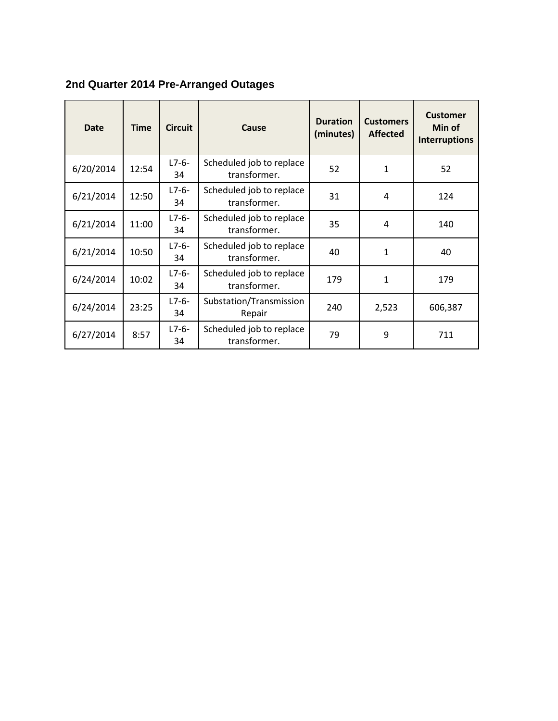|  |  | 2nd Quarter 2014 Pre-Arranged Outages |
|--|--|---------------------------------------|
|  |  |                                       |

| <b>Date</b> | <b>Time</b> | <b>Circuit</b>   | Cause                                    | <b>Duration</b><br>(minutes) | <b>Customers</b><br><b>Affected</b> | <b>Customer</b><br>Min of<br><b>Interruptions</b> |
|-------------|-------------|------------------|------------------------------------------|------------------------------|-------------------------------------|---------------------------------------------------|
| 6/20/2014   | 12:54       | $L7 - 6 -$<br>34 | Scheduled job to replace<br>transformer. | 52                           | 1                                   | 52                                                |
| 6/21/2014   | 12:50       | $L7-6-$<br>34    | Scheduled job to replace<br>transformer. | 31                           | 4                                   | 124                                               |
| 6/21/2014   | 11:00       | $L7-6-$<br>34    | Scheduled job to replace<br>transformer. | 35                           | 4                                   | 140                                               |
| 6/21/2014   | 10:50       | $L7 - 6 -$<br>34 | Scheduled job to replace<br>transformer. | 40                           | 1                                   | 40                                                |
| 6/24/2014   | 10:02       | $L7 - 6 -$<br>34 | Scheduled job to replace<br>transformer. | 179                          | 1                                   | 179                                               |
| 6/24/2014   | 23:25       | $L7 - 6 -$<br>34 | Substation/Transmission<br>Repair        | 240                          | 2,523                               | 606,387                                           |
| 6/27/2014   | 8:57        | $L7-6-$<br>34    | Scheduled job to replace<br>transformer. | 79                           | 9                                   | 711                                               |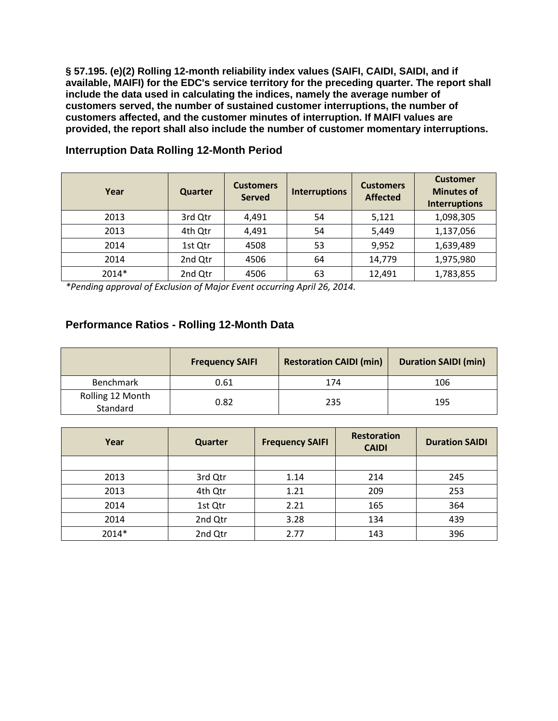**§ 57.195. (e)(2) Rolling 12-month reliability index values (SAIFI, CAIDI, SAIDI, and if available, MAIFI) for the EDC's service territory for the preceding quarter. The report shall include the data used in calculating the indices, namely the average number of customers served, the number of sustained customer interruptions, the number of customers affected, and the customer minutes of interruption. If MAIFI values are provided, the report shall also include the number of customer momentary interruptions.**

| Year  | Quarter | <b>Customers</b><br><b>Served</b> | <b>Interruptions</b> | <b>Customers</b><br><b>Affected</b> | <b>Customer</b><br><b>Minutes of</b><br><b>Interruptions</b> |
|-------|---------|-----------------------------------|----------------------|-------------------------------------|--------------------------------------------------------------|
| 2013  | 3rd Qtr | 4,491                             | 54                   | 5,121                               | 1,098,305                                                    |
| 2013  | 4th Qtr | 4,491                             | 54                   | 5,449                               | 1,137,056                                                    |
| 2014  | 1st Qtr | 4508                              | 53                   | 9,952                               | 1,639,489                                                    |
| 2014  | 2nd Qtr | 4506                              | 64                   | 14,779                              | 1,975,980                                                    |
| 2014* | 2nd Qtr | 4506                              | 63                   | 12,491                              | 1,783,855                                                    |

**Interruption Data Rolling 12-Month Period** 

*\*Pending approval of Exclusion of Major Event occurring April 26, 2014.*

## **Performance Ratios - Rolling 12-Month Data**

|                              | <b>Frequency SAIFI</b> | <b>Restoration CAIDI (min)</b> | <b>Duration SAIDI (min)</b> |
|------------------------------|------------------------|--------------------------------|-----------------------------|
| Benchmark                    | 0.61                   | 174                            | 106                         |
| Rolling 12 Month<br>Standard | 0.82                   | 235                            | 195                         |

| Year  | Quarter | <b>Frequency SAIFI</b> |     | <b>Duration SAIDI</b> |
|-------|---------|------------------------|-----|-----------------------|
|       |         |                        |     |                       |
| 2013  | 3rd Qtr | 1.14                   | 214 | 245                   |
| 2013  | 4th Qtr | 1.21                   | 209 | 253                   |
| 2014  | 1st Qtr | 2.21                   | 165 | 364                   |
| 2014  | 2nd Qtr | 3.28                   | 134 | 439                   |
| 2014* | 2nd Qtr | 2.77                   | 143 | 396                   |